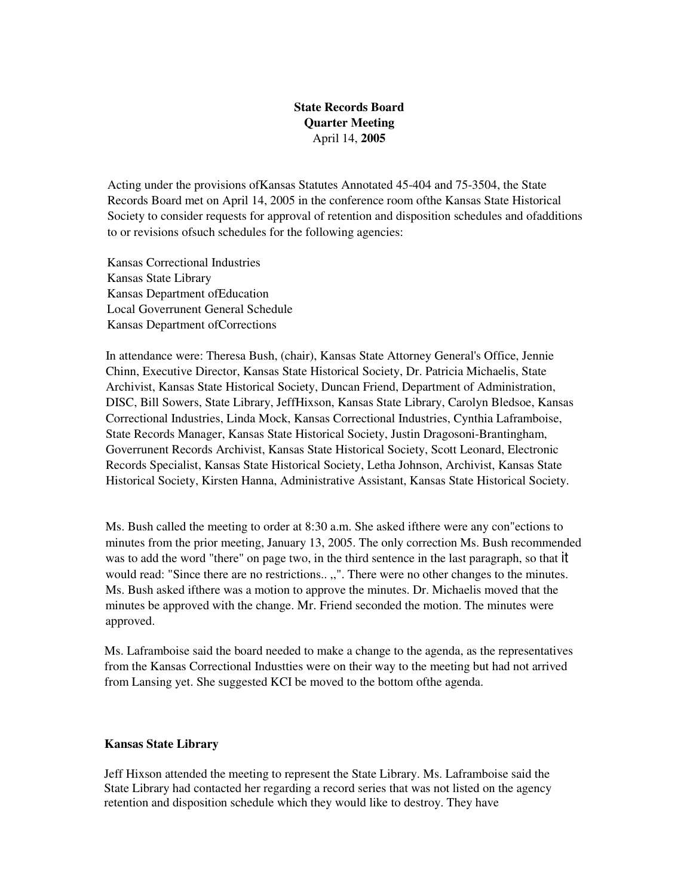# **State Records Board Quarter Meeting**  April 14, **2005**

Acting under the provisions ofKansas Statutes Annotated 45-404 and 75-3504, the State Records Board met on April 14, 2005 in the conference room ofthe Kansas State Historical Society to consider requests for approval of retention and disposition schedules and ofadditions to or revisions ofsuch schedules for the following agencies:

Kansas Correctional Industries Kansas State Library Kansas Department ofEducation Local Goverrunent General Schedule Kansas Department ofCorrections

In attendance were: Theresa Bush, (chair), Kansas State Attorney General's Office, Jennie Chinn, Executive Director, Kansas State Historical Society, Dr. Patricia Michaelis, State Archivist, Kansas State Historical Society, Duncan Friend, Department of Administration, DISC, Bill Sowers, State Library, JeffHixson, Kansas State Library, Carolyn Bledsoe, Kansas Correctional Industries, Linda Mock, Kansas Correctional Industries, Cynthia Laframboise, State Records Manager, Kansas State Historical Society, Justin Dragosoni-Brantingham, Goverrunent Records Archivist, Kansas State Historical Society, Scott Leonard, Electronic Records Specialist, Kansas State Historical Society, Letha Johnson, Archivist, Kansas State Historical Society, Kirsten Hanna, Administrative Assistant, Kansas State Historical Society.

Ms. Bush called the meeting to order at 8:30 a.m. She asked ifthere were any con"ections to minutes from the prior meeting, January 13, 2005. The only correction Ms. Bush recommended was to add the word "there" on page two, in the third sentence in the last paragraph, so that it would read: "Since there are no restrictions.. ,,". There were no other changes to the minutes. Ms. Bush asked ifthere was a motion to approve the minutes. Dr. Michaelis moved that the minutes be approved with the change. Mr. Friend seconded the motion. The minutes were approved.

Ms. Laframboise said the board needed to make a change to the agenda, as the representatives from the Kansas Correctional Industties were on their way to the meeting but had not arrived from Lansing yet. She suggested KCI be moved to the bottom ofthe agenda.

#### **Kansas State Library**

Jeff Hixson attended the meeting to represent the State Library. Ms. Laframboise said the State Library had contacted her regarding a record series that was not listed on the agency retention and disposition schedule which they would like to destroy. They have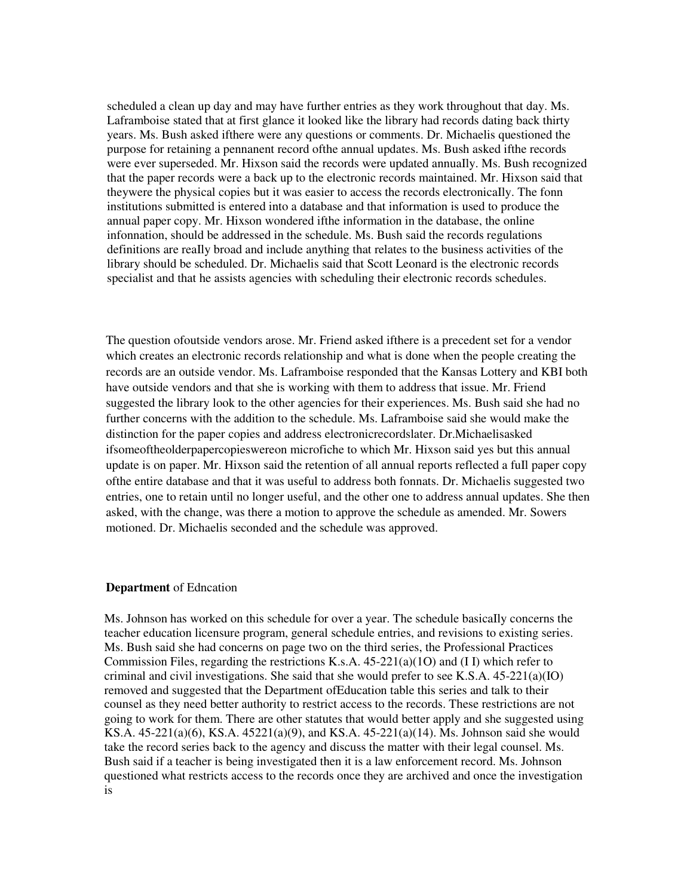scheduled a clean up day and may have further entries as they work throughout that day. Ms. Laframboise stated that at first glance it looked like the library had records dating back thirty years. Ms. Bush asked ifthere were any questions or comments. Dr. Michaelis questioned the purpose for retaining a pennanent record ofthe annual updates. Ms. Bush asked ifthe records were ever superseded. Mr. Hixson said the records were updated annuaIly. Ms. Bush recognized that the paper records were a back up to the electronic records maintained. Mr. Hixson said that theywere the physical copies but it was easier to access the records electronicaIly. The fonn institutions submitted is entered into a database and that information is used to produce the annual paper copy. Mr. Hixson wondered ifthe information in the database, the online infonnation, should be addressed in the schedule. Ms. Bush said the records regulations definitions are reaIly broad and include anything that relates to the business activities of the library should be scheduled. Dr. Michaelis said that Scott Leonard is the electronic records specialist and that he assists agencies with scheduling their electronic records schedules.

The question ofoutside vendors arose. Mr. Friend asked ifthere is a precedent set for a vendor which creates an electronic records relationship and what is done when the people creating the records are an outside vendor. Ms. Laframboise responded that the Kansas Lottery and KBI both have outside vendors and that she is working with them to address that issue. Mr. Friend suggested the library look to the other agencies for their experiences. Ms. Bush said she had no further concerns with the addition to the schedule. Ms. Laframboise said she would make the distinction for the paper copies and address electronicrecordslater. Dr.Michaelisasked ifsomeoftheolderpapercopieswereon microfiche to which Mr. Hixson said yes but this annual update is on paper. Mr. Hixson said the retention of all annual reports reflected a fuIl paper copy ofthe entire database and that it was useful to address both fonnats. Dr. Michaelis suggested two entries, one to retain until no longer useful, and the other one to address annual updates. She then asked, with the change, was there a motion to approve the schedule as amended. Mr. Sowers motioned. Dr. Michaelis seconded and the schedule was approved.

#### **Department** of Edncation

Ms. Johnson has worked on this schedule for over a year. The schedule basicaIly concerns the teacher education licensure program, general schedule entries, and revisions to existing series. Ms. Bush said she had concerns on page two on the third series, the Professional Practices Commission Files, regarding the restrictions K.s.A. 45-221(a)(1O) and (I I) which refer to criminal and civil investigations. She said that she would prefer to see K.S.A. 45-221(a)(IO) removed and suggested that the Department ofEducation table this series and talk to their counsel as they need better authority to restrict access to the records. These restrictions are not going to work for them. There are other statutes that would better apply and she suggested using KS.A. 45-221(a)(6), KS.A. 45221(a)(9), and KS.A. 45-221(a)(14). Ms. Johnson said she would take the record series back to the agency and discuss the matter with their legal counsel. Ms. Bush said if a teacher is being investigated then it is a law enforcement record. Ms. Johnson questioned what restricts access to the records once they are archived and once the investigation is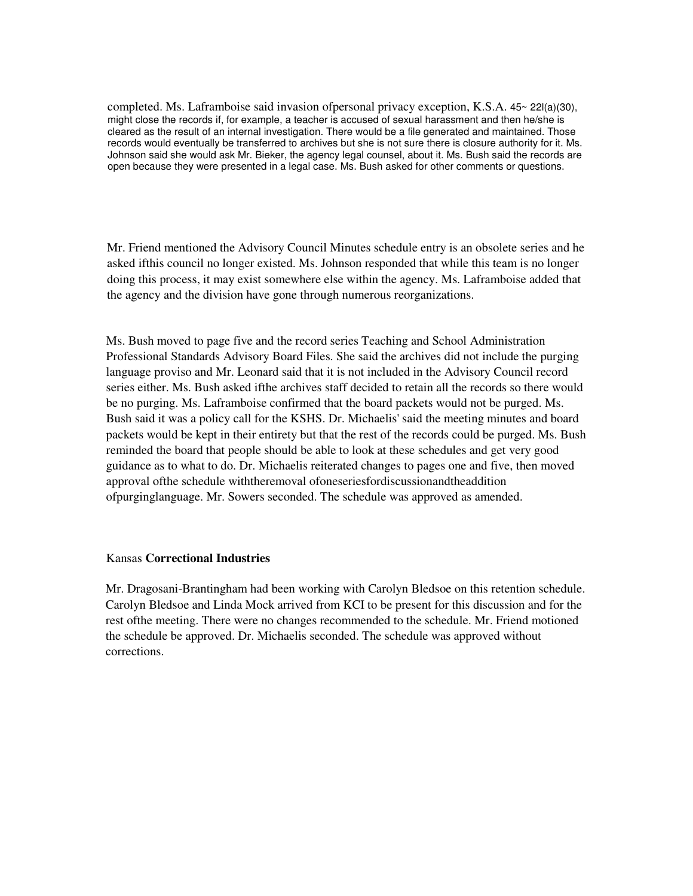completed. Ms. Laframboise said invasion ofpersonal privacy exception, K.S.A. 45~ 22l(a)(30), might close the records if, for example, a teacher is accused of sexual harassment and then he/she is cleared as the result of an internal investigation. There would be a file generated and maintained. Those records would eventually be transferred to archives but she is not sure there is closure authority for it. Ms. Johnson said she would ask Mr. Bieker, the agency legal counsel, about it. Ms. Bush said the records are open because they were presented in a legal case. Ms. Bush asked for other comments or questions.

Mr. Friend mentioned the Advisory Council Minutes schedule entry is an obsolete series and he asked ifthis council no longer existed. Ms. Johnson responded that while this team is no longer doing this process, it may exist somewhere else within the agency. Ms. Laframboise added that the agency and the division have gone through numerous reorganizations.

Ms. Bush moved to page five and the record series Teaching and School Administration Professional Standards Advisory Board Files. She said the archives did not include the purging language proviso and Mr. Leonard said that it is not included in the Advisory Council record series either. Ms. Bush asked ifthe archives staff decided to retain all the records so there would be no purging. Ms. Laframboise confirmed that the board packets would not be purged. Ms. Bush said it was a policy call for the KSHS. Dr. Michaelis' said the meeting minutes and board packets would be kept in their entirety but that the rest of the records could be purged. Ms. Bush reminded the board that people should be able to look at these schedules and get very good guidance as to what to do. Dr. Michaelis reiterated changes to pages one and five, then moved approval ofthe schedule withtheremoval ofoneseriesfordiscussionandtheaddition ofpurginglanguage. Mr. Sowers seconded. The schedule was approved as amended.

#### Kansas **Correctional Industries**

Mr. Dragosani-Brantingham had been working with Carolyn Bledsoe on this retention schedule. Carolyn Bledsoe and Linda Mock arrived from KCI to be present for this discussion and for the rest ofthe meeting. There were no changes recommended to the schedule. Mr. Friend motioned the schedule be approved. Dr. Michaelis seconded. The schedule was approved without corrections.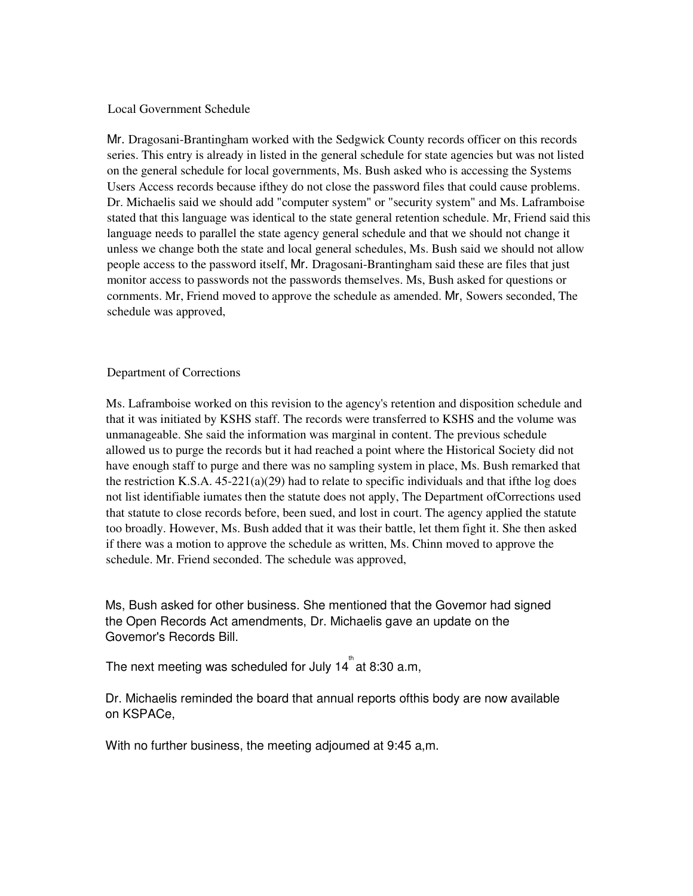## Local Government Schedule

Mr. Dragosani-Brantingham worked with the Sedgwick County records officer on this records series. This entry is already in listed in the general schedule for state agencies but was not listed on the general schedule for local governments, Ms. Bush asked who is accessing the Systems Users Access records because ifthey do not close the password files that could cause problems. Dr. Michaelis said we should add "computer system" or "security system" and Ms. Laframboise stated that this language was identical to the state general retention schedule. Mr, Friend said this language needs to parallel the state agency general schedule and that we should not change it unless we change both the state and local general schedules, Ms. Bush said we should not allow people access to the password itself, Mr. Dragosani-Brantingham said these are files that just monitor access to passwords not the passwords themselves. Ms, Bush asked for questions or cornments. Mr, Friend moved to approve the schedule as amended. Mr, Sowers seconded, The schedule was approved,

### Department of Corrections

Ms. Laframboise worked on this revision to the agency's retention and disposition schedule and that it was initiated by KSHS staff. The records were transferred to KSHS and the volume was unmanageable. She said the information was marginal in content. The previous schedule allowed us to purge the records but it had reached a point where the Historical Society did not have enough staff to purge and there was no sampling system in place, Ms. Bush remarked that the restriction K.S.A.  $45-221(a)(29)$  had to relate to specific individuals and that if the log does not list identifiable iumates then the statute does not apply, The Department ofCorrections used that statute to close records before, been sued, and lost in court. The agency applied the statute too broadly. However, Ms. Bush added that it was their battle, let them fight it. She then asked if there was a motion to approve the schedule as written, Ms. Chinn moved to approve the schedule. Mr. Friend seconded. The schedule was approved,

Ms, Bush asked for other business. She mentioned that the Govemor had signed the Open Records Act amendments, Dr. Michaelis gave an update on the Govemor's Records Bill.

The next meeting was scheduled for July 14  $^{\text{th}}$  at 8:30 a.m,

Dr. Michaelis reminded the board that annual reports ofthis body are now available on KSPACe,

With no further business, the meeting adjoumed at 9:45 a,m.